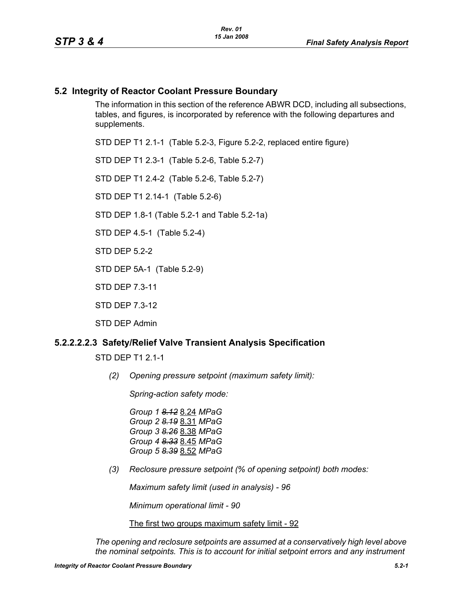### **5.2 Integrity of Reactor Coolant Pressure Boundary**

The information in this section of the reference ABWR DCD, including all subsections, tables, and figures, is incorporated by reference with the following departures and supplements.

STD DEP T1 2.1-1 (Table 5.2-3, Figure 5.2-2, replaced entire figure)

STD DEP T1 2.3-1 (Table 5.2-6, Table 5.2-7)

STD DEP T1 2.4-2 (Table 5.2-6, Table 5.2-7)

STD DEP T1 2.14-1 (Table 5.2-6)

STD DEP 1.8-1 (Table 5.2-1 and Table 5.2-1a)

STD DEP 4.5-1 (Table 5.2-4)

STD DFP 5 2-2

STD DEP 5A-1 (Table 5.2-9)

STD DEP 7.3-11

STD DEP 7.3-12

STD DEP Admin

#### **5.2.2.2.2.3 Safety/Relief Valve Transient Analysis Specification**

STD DEP T1 2.1-1

*(2) Opening pressure setpoint (maximum safety limit):*

*Spring-action safety mode:*

*Group 1 8.12* 8.24 *MPaG Group 2 8.19* 8.31 *MPaG Group 3 8.26* 8.38 *MPaG Group 4 8.33* 8.45 *MPaG Group 5 8.39* 8.52 *MPaG*

*(3) Reclosure pressure setpoint (% of opening setpoint) both modes:*

*Maximum safety limit (used in analysis) - 96*

*Minimum operational limit - 90*

The first two groups maximum safety limit - 92

*The opening and reclosure setpoints are assumed at a conservatively high level above the nominal setpoints. This is to account for initial setpoint errors and any instrument*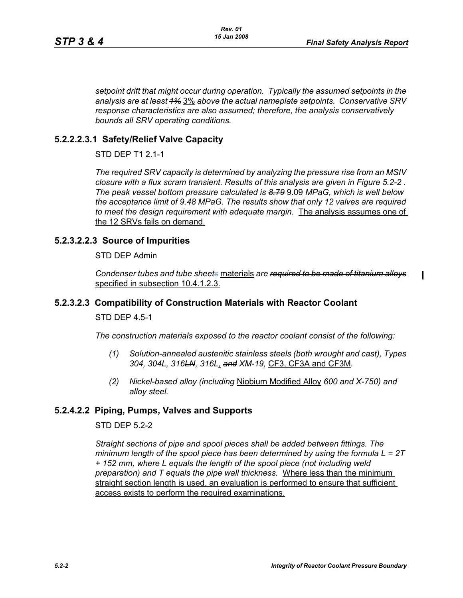*setpoint drift that might occur during operation. Typically the assumed setpoints in the analysis are at least 1%* 3% *above the actual nameplate setpoints. Conservative SRV response characteristics are also assumed; therefore, the analysis conservatively bounds all SRV operating conditions.* 

### **5.2.2.2.3.1 Safety/Relief Valve Capacity**

STD DEP T1 2.1-1

*The required SRV capacity is determined by analyzing the pressure rise from an MSIV closure with a flux scram transient. Results of this analysis are given in Figure 5.2-2 . The peak vessel bottom pressure calculated is 8.79* 9.09 *MPaG, which is well below the acceptance limit of 9.48 MPaG. The results show that only 12 valves are required to meet the design requirement with adequate margin.* The analysis assumes one of the 12 SRVs fails on demand.

## **5.2.3.2.2.3 Source of Impurities**

STD DEP Admin

*Condenser tubes and tube sheets* materials *are required to be made of titanium alloys* specified in subsection 10.4.1.2.3.

### **5.2.3.2.3 Compatibility of Construction Materials with Reactor Coolant**

STD DEP 4.5-1

*The construction materials exposed to the reactor coolant consist of the following:*

- *(1) Solution-annealed austenitic stainless steels (both wrought and cast), Types 304, 304L, 316LN, 316L*, *and XM-19,* CF3, CF3A and CF3M*.*
- *(2) Nickel-based alloy (including* Niobium Modified Alloy *600 and X-750) and alloy steel.*

## **5.2.4.2.2 Piping, Pumps, Valves and Supports**

#### STD DFP 5 2-2

*Straight sections of pipe and spool pieces shall be added between fittings. The minimum length of the spool piece has been determined by using the formula L = 2T + 152 mm, where L equals the length of the spool piece (not including weld preparation) and T equals the pipe wall thickness.* Where less than the minimum straight section length is used, an evaluation is performed to ensure that sufficient access exists to perform the required examinations.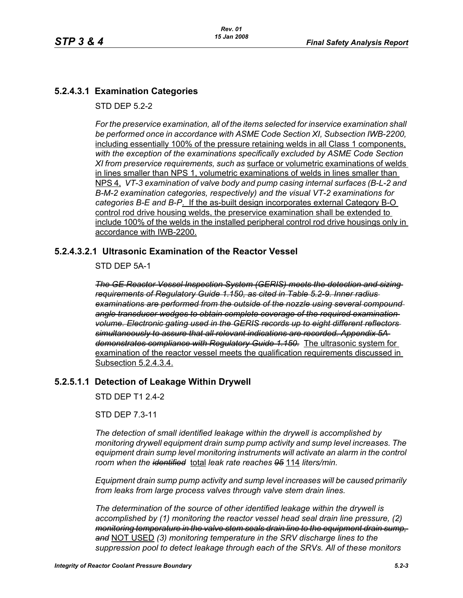# **5.2.4.3.1 Examination Categories**

STD DFP 5 2-2

*For the preservice examination, all of the items selected for inservice examination shall*  be performed once in accordance with ASME Code Section XI, Subsection IWB-2200, including essentially 100% of the pressure retaining welds in all Class 1 components, *with the exception of the examinations specifically excluded by ASME Code Section XI from preservice requirements, such as* surface or volumetric examinations of welds in lines smaller than NPS 1, volumetric examinations of welds in lines smaller than NPS 4, *VT-3 examination of valve body and pump casing internal surfaces (B-L-2 and B-M-2 examination categories, respectively) and the visual VT-2 examinations for categories B-E and B-P*. If the as-built design incorporates external Category B-O control rod drive housing welds, the preservice examination shall be extended to include 100% of the welds in the installed peripheral control rod drive housings only in accordance with IWB-2200.

## **5.2.4.3.2.1 Ultrasonic Examination of the Reactor Vessel**

STD DEP 5A-1

*The GE Reactor Vessel Inspection System (GERIS) meets the detection and sizing requirements of Regulatory Guide 1.150, as cited in Table 5.2-9. Inner radius examinations are performed from the outside of the nozzle using several compound angle transducer wedges to obtain complete coverage of the required examination volume. Electronic gating used in the GERIS records up to eight different reflectors simultaneously to assure that all relevant indications are recorded. Appendix 5A demonstrates compliance with Regulatory Guide 1.150.* The ultrasonic system for examination of the reactor vessel meets the qualification requirements discussed in Subsection 5.2.4.3.4.

## **5.2.5.1.1 Detection of Leakage Within Drywell**

STD DEP T1 2.4-2

STD DEP 7.3-11

*The detection of small identified leakage within the drywell is accomplished by monitoring drywell equipment drain sump pump activity and sump level increases. The equipment drain sump level monitoring instruments will activate an alarm in the control room when the identified* total *leak rate reaches 95* 114 *liters/min.*

*Equipment drain sump pump activity and sump level increases will be caused primarily from leaks from large process valves through valve stem drain lines.*

*The determination of the source of other identified leakage within the drywell is accomplished by (1) monitoring the reactor vessel head seal drain line pressure, (2) monitoring temperature in the valve stem seals drain line to the equipment drain sump, and* NOT USED *(3) monitoring temperature in the SRV discharge lines to the suppression pool to detect leakage through each of the SRVs. All of these monitors*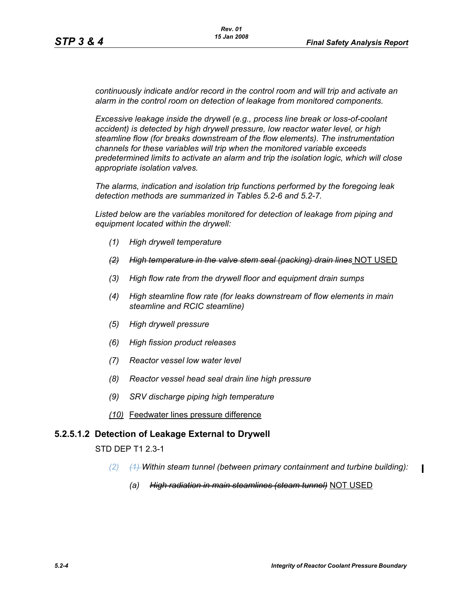*continuously indicate and/or record in the control room and will trip and activate an alarm in the control room on detection of leakage from monitored components.* 

*Excessive leakage inside the drywell (e.g., process line break or loss-of-coolant accident) is detected by high drywell pressure, low reactor water level, or high steamline flow (for breaks downstream of the flow elements). The instrumentation channels for these variables will trip when the monitored variable exceeds predetermined limits to activate an alarm and trip the isolation logic, which will close appropriate isolation valves.*

*The alarms, indication and isolation trip functions performed by the foregoing leak detection methods are summarized in Tables 5.2-6 and 5.2-7.*

*Listed below are the variables monitored for detection of leakage from piping and equipment located within the drywell:*

- *(1) High drywell temperature*
- *(2) High temperature in the valve stem seal (packing) drain lines* NOT USED
- *(3) High flow rate from the drywell floor and equipment drain sumps*
- *(4) High steamline flow rate (for leaks downstream of flow elements in main steamline and RCIC steamline)*
- *(5) High drywell pressure*
- *(6) High fission product releases*
- *(7) Reactor vessel low water level*
- *(8) Reactor vessel head seal drain line high pressure*
- *(9) SRV discharge piping high temperature*
- *(10)* Feedwater lines pressure difference

#### **5.2.5.1.2 Detection of Leakage External to Drywell**

STD DEP T1 2.3-1

- *(2) (1) Within steam tunnel (between primary containment and turbine building):*
	- *(a) High radiation in main steamlines (steam tunnel)* NOT USED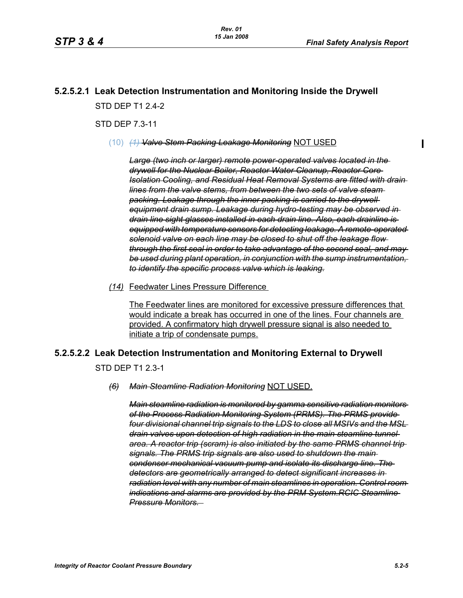# **5.2.5.2.1 Leak Detection Instrumentation and Monitoring Inside the Drywell** STD DFP T1 2 4-2

STD DEP 7.3-11

(10) *(1) Valve Stem Packing Leakage Monitoring* NOT USED

*Large (two inch or larger) remote power-operated valves located in the drywell for the Nuclear Boiler, Reactor Water Cleanup, Reactor Core Isolation Cooling, and Residual Heat Removal Systems are fitted with drain lines from the valve stems, from between the two sets of valve steam packing. Leakage through the inner packing is carried to the drywell equipment drain sump. Leakage during hydro-testing may be observed in drain line sight glasses installed in each drain line. Also, each drainline is equipped with temperature sensors for detecting leakage. A remote-operated solenoid valve on each line may be closed to shut off the leakage flow through the first seal in order to take advantage of the second seal, and may be used during plant operation, in conjunction with the sump instrumentation, to identify the specific process valve which is leaking.*

*(14)* Feedwater Lines Pressure Difference

The Feedwater lines are monitored for excessive pressure differences that would indicate a break has occurred in one of the lines. Four channels are provided. A confirmatory high drywell pressure signal is also needed to initiate a trip of condensate pumps.

#### **5.2.5.2.2 Leak Detection Instrumentation and Monitoring External to Drywell**

STD DEP T1 2.3-1

#### *(6) Main Steamline Radiation Monitoring* NOT USED.

*Main steamline radiation is monitored by gamma sensitive radiation monitors of the Process Radiation Monitoring System (PRMS). The PRMS provide four divisional channel trip signals to the LDS to close all MSIVs and the MSL drain valves upon detection of high radiation in the main steamline tunnel area. A reactor trip (scram) is also initiated by the same PRMS channel trip signals. The PRMS trip signals are also used to shutdown the main condenser mechanical vacuum pump and isolate its discharge line. The detectors are geometrically arranged to detect significant increases in radiation level with any number of main steamlines in operation. Control room indications and alarms are provided by the PRM System.RCIC Steamline Pressure Monitors.*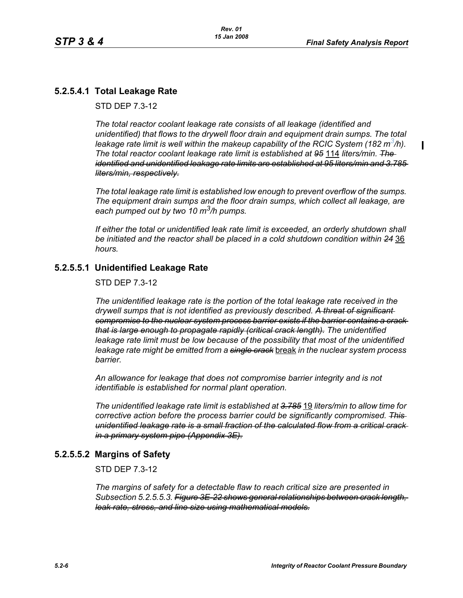$\blacksquare$ 

## **5.2.5.4.1 Total Leakage Rate**

STD DEP 7.3-12

*The total reactor coolant leakage rate consists of all leakage (identified and unidentified) that flows to the drywell floor drain and equipment drain sumps. The total leakage rate limit is well within the makeup capability of the RCIC System (182 m3/h). The total reactor coolant leakage rate limit is established at 95* 114 *liters/min. The identified and unidentified leakage rate limits are established at 95 liters/min and 3.785 liters/min, respectively.*

*The total leakage rate limit is established low enough to prevent overflow of the sumps. The equipment drain sumps and the floor drain sumps, which collect all leakage, are each pumped out by two 10 m3/h pumps.*

*If either the total or unidentified leak rate limit is exceeded, an orderly shutdown shall be initiated and the reactor shall be placed in a cold shutdown condition within 24* 36 *hours.*

## **5.2.5.5.1 Unidentified Leakage Rate**

STD DEP 7.3-12

*The unidentified leakage rate is the portion of the total leakage rate received in the drywell sumps that is not identified as previously described. A threat of significant compromise to the nuclear system process barrier exists if the barrier contains a crack that is large enough to propagate rapidly (critical crack length). The unidentified*  leakage rate limit must be low because of the possibility that most of the unidentified *leakage rate might be emitted from a single crack* break *in the nuclear system process barrier.*

*An allowance for leakage that does not compromise barrier integrity and is not identifiable is established for normal plant operation.*

*The unidentified leakage rate limit is established at 3.785* 19 *liters/min to allow time for corrective action before the process barrier could be significantly compromised. This unidentified leakage rate is a small fraction of the calculated flow from a critical crack in a primary system pipe (Appendix 3E).*

#### **5.2.5.5.2 Margins of Safety**

STD DEP 7.3-12

*The margins of safety for a detectable flaw to reach critical size are presented in Subsection 5.2.5.5.3. Figure 3E-22 shows general relationships between crack length, leak rate, stress, and line size using mathematical models.*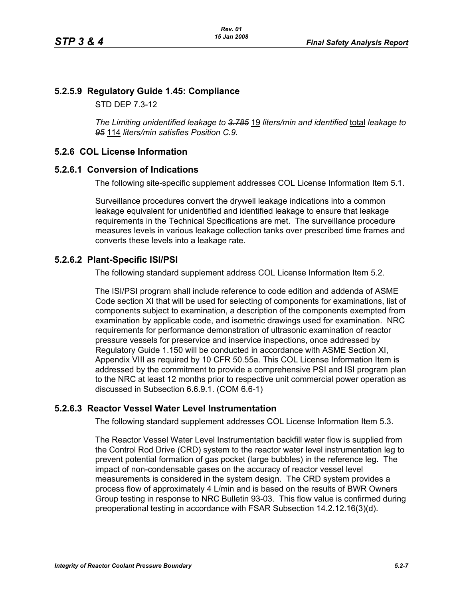### **5.2.5.9 Regulatory Guide 1.45: Compliance**

STD DEP 7.3-12

*The Limiting unidentified leakage to 3.785* 19 *liters/min and identified* total *leakage to 95* 114 *liters/min satisfies Position C.9.*

#### **5.2.6 COL License Information**

#### **5.2.6.1 Conversion of Indications**

The following site-specific supplement addresses COL License Information Item 5.1.

Surveillance procedures convert the drywell leakage indications into a common leakage equivalent for unidentified and identified leakage to ensure that leakage requirements in the Technical Specifications are met. The surveillance procedure measures levels in various leakage collection tanks over prescribed time frames and converts these levels into a leakage rate.

#### **5.2.6.2 Plant-Specific ISI/PSI**

The following standard supplement address COL License Information Item 5.2.

The ISI/PSI program shall include reference to code edition and addenda of ASME Code section XI that will be used for selecting of components for examinations, list of components subject to examination, a description of the components exempted from examination by applicable code, and isometric drawings used for examination. NRC requirements for performance demonstration of ultrasonic examination of reactor pressure vessels for preservice and inservice inspections, once addressed by Regulatory Guide 1.150 will be conducted in accordance with ASME Section XI, Appendix VIII as required by 10 CFR 50.55a. This COL License Information Item is addressed by the commitment to provide a comprehensive PSI and ISI program plan to the NRC at least 12 months prior to respective unit commercial power operation as discussed in Subsection 6.6.9.1. (COM 6.6-1)

#### **5.2.6.3 Reactor Vessel Water Level Instrumentation**

The following standard supplement addresses COL License Information Item 5.3.

The Reactor Vessel Water Level Instrumentation backfill water flow is supplied from the Control Rod Drive (CRD) system to the reactor water level instrumentation leg to prevent potential formation of gas pocket (large bubbles) in the reference leg. The impact of non-condensable gases on the accuracy of reactor vessel level measurements is considered in the system design. The CRD system provides a process flow of approximately 4 L/min and is based on the results of BWR Owners Group testing in response to NRC Bulletin 93-03. This flow value is confirmed during preoperational testing in accordance with FSAR Subsection 14.2.12.16(3)(d).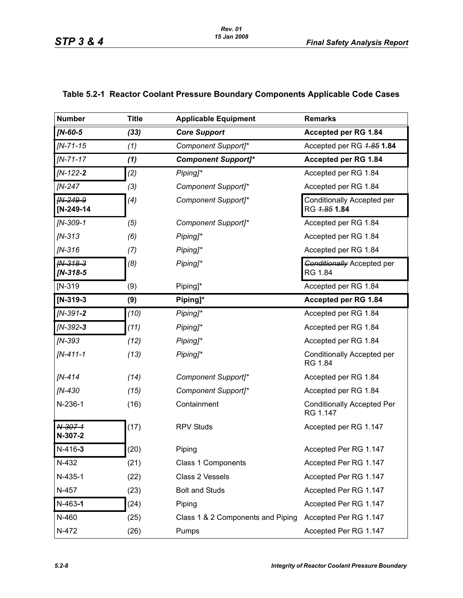| <b>Number</b>            | <b>Title</b> | <b>Applicable Equipment</b>       | <b>Remarks</b>                                    |
|--------------------------|--------------|-----------------------------------|---------------------------------------------------|
| <b>IN-60-5</b>           | (33)         | <b>Core Support</b>               | Accepted per RG 1.84                              |
| $IN - 71 - 15$           | (1)          | Component Support]*               | Accepted per RG 4.85 1.84                         |
| $IN - 71 - 17$           | (1)          | <b>Component Support]*</b>        | Accepted per RG 1.84                              |
| $IN-122-2$               | (2)          | Piping]*                          | Accepted per RG 1.84                              |
| [N-247                   | (3)          | Component Support]*               | Accepted per RG 1.84                              |
| IN-249-9<br>$[N-249-14]$ | (4)          | Component Support]*               | <b>Conditionally Accepted per</b><br>RG 4.85 1.84 |
| $IN-309-1$               | (5)          | Component Support]*               | Accepted per RG 1.84                              |
| $IN-313$                 | (6)          | Piping]*                          | Accepted per RG 1.84                              |
| $IN-316$                 | (7)          | Piping]*                          | Accepted per RG 1.84                              |
| $fN-318-3$<br>$IN-318-5$ | (8)          | Piping]*                          | <b>Conditionally Accepted per</b><br>RG 1.84      |
| $IN-319$                 | (9)          | Piping]*                          | Accepted per RG 1.84                              |
| $[N-319-3]$              | (9)          | Piping]*                          | Accepted per RG 1.84                              |
| $IN-391-2$               | (10)         | Piping]*                          | Accepted per RG 1.84                              |
| $IN-392-3$               | (11)         | Piping]*                          | Accepted per RG 1.84                              |
| $IN-393$                 | (12)         | Piping]*                          | Accepted per RG 1.84                              |
| $IN-411-1$               | (13)         | Piping]*                          | Conditionally Accepted per<br>RG 1.84             |
| [N-414                   | (14)         | Component Support]*               | Accepted per RG 1.84                              |
| [N-430                   | (15)         | Component Support]*               | Accepted per RG 1.84                              |
| N-236-1                  | (16)         | Containment                       | <b>Conditionally Accepted Per</b><br>RG 1.147     |
| N-307-1<br>N-307-2       | (17)         | <b>RPV Studs</b>                  | Accepted per RG 1.147                             |
| N-416-3                  | (20)         | Piping                            | Accepted Per RG 1.147                             |
| N-432                    | (21)         | Class 1 Components                | Accepted Per RG 1.147                             |
| N-435-1                  | (22)         | Class 2 Vessels                   | Accepted Per RG 1.147                             |
| N-457                    | (23)         | <b>Bolt and Studs</b>             | Accepted Per RG 1.147                             |
| $N-463-1$                | (24)         | Piping                            | Accepted Per RG 1.147                             |
| N-460                    | (25)         | Class 1 & 2 Components and Piping | Accepted Per RG 1.147                             |
| N-472                    | (26)         | Pumps                             | Accepted Per RG 1.147                             |

## **Table 5.2-1 Reactor Coolant Pressure Boundary Components Applicable Code Cases**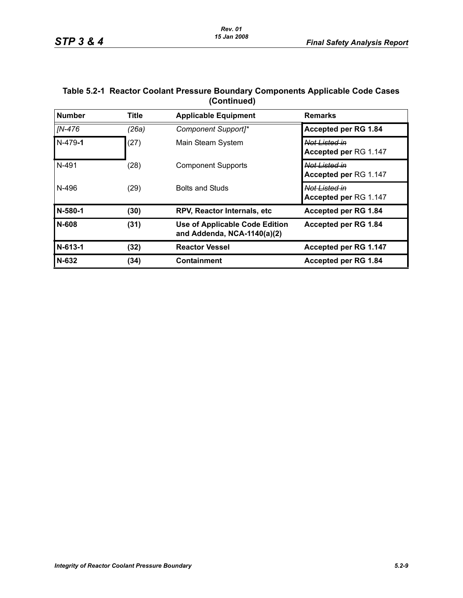| Table 5.2-1  Reactor Coolant Pressure Boundary Components Applicable Code Cases |
|---------------------------------------------------------------------------------|
| (Continued)                                                                     |

| <b>Number</b> | <b>Title</b> | <b>Applicable Equipment</b>                                   | <b>Remarks</b>                                    |
|---------------|--------------|---------------------------------------------------------------|---------------------------------------------------|
| [N-476        | (26a)        | Component Support]*                                           | Accepted per RG 1.84                              |
| N-479-1       | (27)         | Main Steam System                                             | Not Listed in<br>Accepted per RG 1.147            |
| N-491         | (28)         | <b>Component Supports</b>                                     | <del>Not Listed in</del><br>Accepted per RG 1.147 |
| N-496         | (29)         | <b>Bolts and Studs</b>                                        | Not Listed in<br>Accepted per RG 1.147            |
| N-580-1       | (30)         | RPV, Reactor Internals, etc                                   | Accepted per RG 1.84                              |
| N-608         | (31)         | Use of Applicable Code Edition<br>and Addenda, NCA-1140(a)(2) | Accepted per RG 1.84                              |
| N-613-1       | (32)         | <b>Reactor Vessel</b>                                         | Accepted per RG 1.147                             |
| N-632         | (34)         | Containment                                                   | Accepted per RG 1.84                              |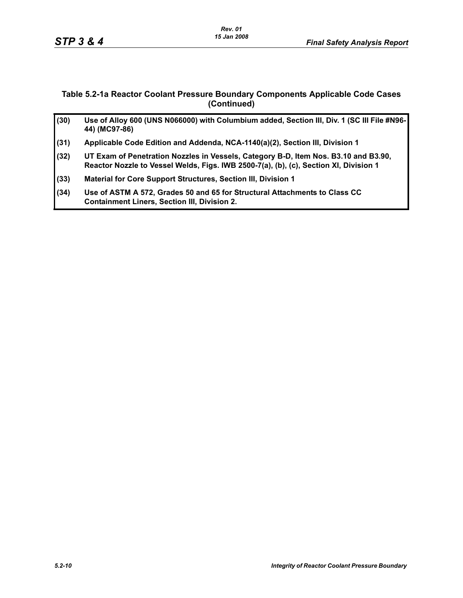#### **Table 5.2-1a Reactor Coolant Pressure Boundary Components Applicable Code Cases (Continued)**

| (30) | Use of Alloy 600 (UNS N066000) with Columbium added, Section III, Div. 1 (SC III File #N96-<br>44) (MC97-86)                                                                 |
|------|------------------------------------------------------------------------------------------------------------------------------------------------------------------------------|
| (31) | Applicable Code Edition and Addenda, NCA-1140(a)(2), Section III, Division 1                                                                                                 |
| (32) | UT Exam of Penetration Nozzles in Vessels, Category B-D, Item Nos. B3.10 and B3.90,<br>Reactor Nozzle to Vessel Welds, Figs. IWB 2500-7(a), (b), (c), Section XI, Division 1 |
| (33) | Material for Core Support Structures, Section III, Division 1                                                                                                                |
| (34) | Use of ASTM A 572, Grades 50 and 65 for Structural Attachments to Class CC<br><b>Containment Liners, Section III, Division 2.</b>                                            |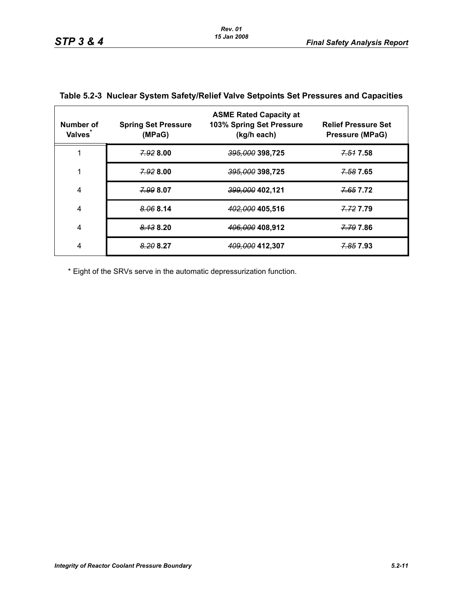| Number of<br>Valves <sup>*</sup> | <b>Spring Set Pressure</b><br>(MPaG) | <b>ASME Rated Capacity at</b><br>103% Spring Set Pressure<br>(kg/h each) | <b>Relief Pressure Set</b><br><b>Pressure (MPaG)</b> |
|----------------------------------|--------------------------------------|--------------------------------------------------------------------------|------------------------------------------------------|
|                                  | 7.928.00                             | <del>395,000</del> 398,725                                               | 7.51 7.58                                            |
| 1                                | 7.92800                              | <del>395,000</del> 398,725                                               | 7.58 7.65                                            |
| 4                                | 7.99 8.07                            | <del>399,000</del> 402,121                                               | 7.65 7.72                                            |
| 4                                | 8.068.14                             | 402,000 405,516                                                          | 7.72 7.79                                            |
| 4                                | 8.138.20                             | 406,000 408,912                                                          | 7.79 7.86                                            |
| 4                                | 8.20 8.27                            | 409,000 412,307                                                          | <del>7.85</del> 7.93                                 |

### **Table 5.2-3 Nuclear System Safety/Relief Valve Setpoints Set Pressures and Capacities**

\* Eight of the SRVs serve in the automatic depressurization function.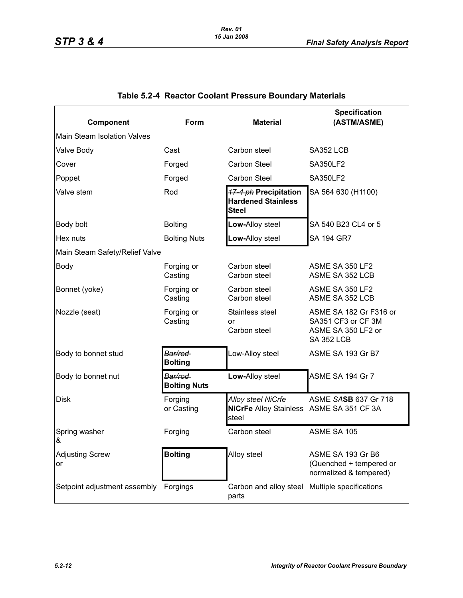| Component                      | Form                            | <b>Material</b>                                                                | <b>Specification</b><br>(ASTM/ASME)                                                     |
|--------------------------------|---------------------------------|--------------------------------------------------------------------------------|-----------------------------------------------------------------------------------------|
| Main Steam Isolation Valves    |                                 |                                                                                |                                                                                         |
| Valve Body                     | Cast                            | Carbon steel                                                                   | SA352 LCB                                                                               |
| Cover                          | Forged                          | Carbon Steel                                                                   | <b>SA350LF2</b>                                                                         |
| Poppet                         | Forged                          | <b>Carbon Steel</b>                                                            | <b>SA350LF2</b>                                                                         |
| Valve stem                     | Rod                             | <b>17-4 ph Precipitation</b><br><b>Hardened Stainless</b><br><b>Steel</b>      | SA 564 630 (H1100)                                                                      |
| Body bolt                      | <b>Bolting</b>                  | Low-Alloy steel                                                                | SA 540 B23 CL4 or 5                                                                     |
| Hex nuts                       | <b>Bolting Nuts</b>             | Low-Alloy steel                                                                | <b>SA 194 GR7</b>                                                                       |
| Main Steam Safety/Relief Valve |                                 |                                                                                |                                                                                         |
| <b>Body</b>                    | Forging or<br>Casting           | Carbon steel<br>Carbon steel                                                   | ASME SA 350 LF2<br>ASME SA 352 LCB                                                      |
| Bonnet (yoke)                  | Forging or<br>Casting           | Carbon steel<br>Carbon steel                                                   | ASME SA 350 LF2<br>ASME SA 352 LCB                                                      |
| Nozzle (seat)                  | Forging or<br>Casting           | Stainless steel<br>or<br>Carbon steel                                          | ASME SA 182 Gr F316 or<br>SA351 CF3 or CF 3M<br>ASME SA 350 LF2 or<br><b>SA 352 LCB</b> |
| Body to bonnet stud            | Bar/rod<br><b>Bolting</b>       | Low-Alloy steel                                                                | ASME SA 193 Gr B7                                                                       |
| Body to bonnet nut             | Bar/rod-<br><b>Bolting Nuts</b> | Low-Alloy steel                                                                | ASME SA 194 Gr 7                                                                        |
| <b>Disk</b>                    | Forging<br>or Casting           | <b>Alloy steel NiGrfe</b><br>NiCrFe Alloy Stainless ASME SA 351 CF 3A<br>steel | ASME SASB 637 Gr 718                                                                    |
| Spring washer<br>&             | Forging                         | Carbon steel                                                                   | ASME SA 105                                                                             |
| <b>Adjusting Screw</b><br>or   | <b>Bolting</b>                  | Alloy steel                                                                    | ASME SA 193 Gr B6<br>(Quenched + tempered or<br>normalized & tempered)                  |
| Setpoint adjustment assembly   | Forgings                        | Carbon and alloy steel<br>parts                                                | Multiple specifications                                                                 |

## **Table 5.2-4 Reactor Coolant Pressure Boundary Materials**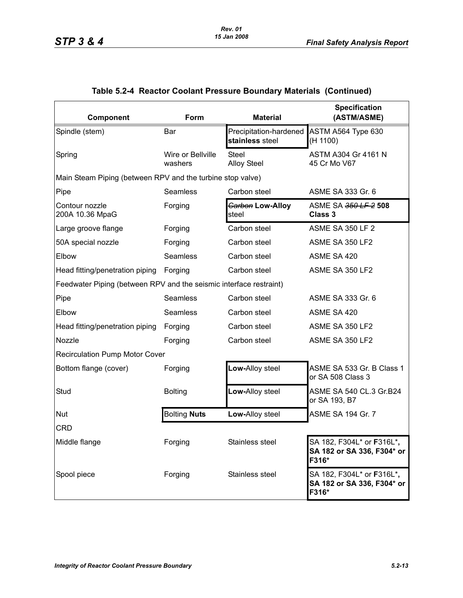| Component                                                          | Form                         | <b>Material</b>                           | <b>Specification</b><br>(ASTM/ASME)                                      |
|--------------------------------------------------------------------|------------------------------|-------------------------------------------|--------------------------------------------------------------------------|
| Spindle (stem)                                                     | Bar                          | Precipitation-hardened<br>stainless steel | ASTM A564 Type 630<br>(H 1100)                                           |
| Spring                                                             | Wire or Bellville<br>washers | Steel<br><b>Alloy Steel</b>               | ASTM A304 Gr 4161 N<br>45 Cr Mo V67                                      |
| Main Steam Piping (between RPV and the turbine stop valve)         |                              |                                           |                                                                          |
| Pipe                                                               | Seamless                     | Carbon steel                              | ASME SA 333 Gr. 6                                                        |
| Contour nozzle<br>200A 10.36 MpaG                                  | Forging                      | Garbon Low-Alloy<br>steel                 | ASME SA 350 LF 2 508<br><b>Class 3</b>                                   |
| Large groove flange                                                | Forging                      | Carbon steel                              | <b>ASME SA 350 LF 2</b>                                                  |
| 50A special nozzle                                                 | Forging                      | Carbon steel                              | ASME SA 350 LF2                                                          |
| Elbow                                                              | <b>Seamless</b>              | Carbon steel                              | ASME SA 420                                                              |
| Head fitting/penetration piping                                    | Forging                      | Carbon steel                              | ASME SA 350 LF2                                                          |
| Feedwater Piping (between RPV and the seismic interface restraint) |                              |                                           |                                                                          |
| Pipe                                                               | <b>Seamless</b>              | Carbon steel                              | ASME SA 333 Gr. 6                                                        |
| Elbow                                                              | <b>Seamless</b>              | Carbon steel                              | ASME SA 420                                                              |
| Head fitting/penetration piping                                    | Forging                      | Carbon steel                              | ASME SA 350 LF2                                                          |
| Nozzle                                                             | Forging                      | Carbon steel                              | ASME SA 350 LF2                                                          |
| <b>Recirculation Pump Motor Cover</b>                              |                              |                                           |                                                                          |
| Bottom flange (cover)                                              | Forging                      | Low-Alloy steel                           | ASME SA 533 Gr. B Class 1<br>or SA 508 Class 3                           |
| Stud                                                               | <b>Bolting</b>               | Low-Alloy steel                           | ASME SA 540 CL.3 Gr.B24<br>or SA 193, B7                                 |
| Nut                                                                | <b>Bolting Nuts</b>          | Low-Alloy steel                           | <b>ASME SA 194 Gr. 7</b>                                                 |
| <b>CRD</b>                                                         |                              |                                           |                                                                          |
| Middle flange                                                      | Forging                      | Stainless steel                           | SA 182, F304L* or <b>F</b> 316L*,<br>SA 182 or SA 336, F304* or<br>F316* |
| Spool piece                                                        | Forging                      | Stainless steel                           | SA 182, F304L* or F316L*,<br>SA 182 or SA 336, F304* or<br>F316*         |

## **Table 5.2-4 Reactor Coolant Pressure Boundary Materials (Continued)**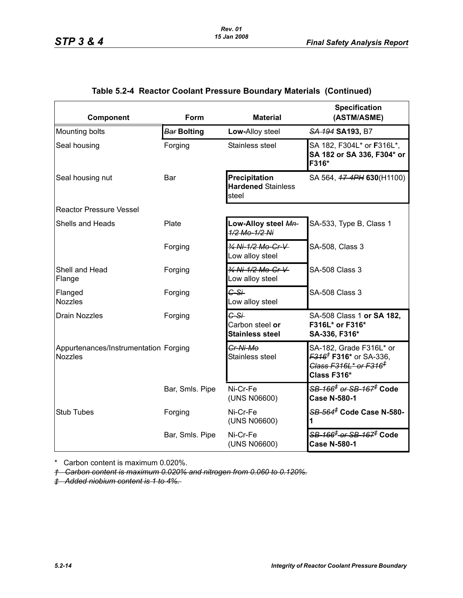| Component                                               | Form               | <b>Material</b>                                     | <b>Specification</b><br>(ASTM/ASME)                                                                                                   |
|---------------------------------------------------------|--------------------|-----------------------------------------------------|---------------------------------------------------------------------------------------------------------------------------------------|
| Mounting bolts                                          | <b>Bar Bolting</b> | Low-Alloy steel                                     | SA 194 SA 193, B7                                                                                                                     |
| Seal housing                                            | Forging            | Stainless steel                                     | SA 182, F304L* or F316L*,<br>SA 182 or SA 336, F304* or<br>F316*                                                                      |
| Seal housing nut                                        | Bar                | Precipitation<br><b>Hardened Stainless</b><br>steel | SA 564, 47-4PH 630(H1100)                                                                                                             |
| <b>Reactor Pressure Vessel</b>                          |                    |                                                     |                                                                                                                                       |
| Shells and Heads                                        | Plate              | Low-Alloy steel Mn-<br>1/2 Mo-1/2 Ni                | SA-533, Type B, Class 1                                                                                                               |
|                                                         | Forging            | 34 Ni-1/2 Mo-Cr-V<br>Low alloy steel                | SA-508, Class 3                                                                                                                       |
| Shell and Head<br>Flange                                | Forging            | 3/4 Ni-1/2 Mo-Cr-V-<br>Low alloy steel              | <b>SA-508 Class 3</b>                                                                                                                 |
| Flanged<br><b>Nozzles</b>                               | Forging            | $G-S+$<br>Low alloy steel                           | <b>SA-508 Class 3</b>                                                                                                                 |
| <b>Drain Nozzles</b>                                    | Forging            | C-Si<br>Carbon steel or<br><b>Stainless steel</b>   | SA-508 Class 1 or SA 182,<br>F316L* or F316*<br>SA-336, F316*                                                                         |
| Appurtenances/Instrumentation Forging<br><b>Nozzles</b> |                    | Cr-Ni-Mo<br>Stainless steel                         | SA-182, Grade F316L* or<br><del>F316<sup>†</sup> F316*</del> or SA-336,<br><del>Class F316L* or F316<sup>‡</sup></del><br>Class F316* |
|                                                         | Bar, Smls. Pipe    | Ni-Cr-Fe<br>(UNS N06600)                            | <del>SB-166<sup>≢</sup> or SB-167<sup>≢</sup> Code</del><br><b>Case N-580-1</b>                                                       |
| <b>Stub Tubes</b>                                       | Forging            | Ni-Cr-Fe<br>(UNS N06600)                            | SB-564 <sup>#</sup> Code Case N-580-<br>1                                                                                             |
|                                                         | Bar, Smls. Pipe    | Ni-Cr-Fe<br>(UNS N06600)                            | <del>SB-166<sup>‡</sup> or SB-167<sup>‡</sup> Code</del><br><b>Case N-580-1</b>                                                       |

### **Table 5.2-4 Reactor Coolant Pressure Boundary Materials (Continued)**

\* Carbon content is maximum 0.020%.

*† Carbon content is maximum 0.020% and nitrogen from 0.060 to 0.120%.*

*‡ Added niobium content is 1 to 4%.*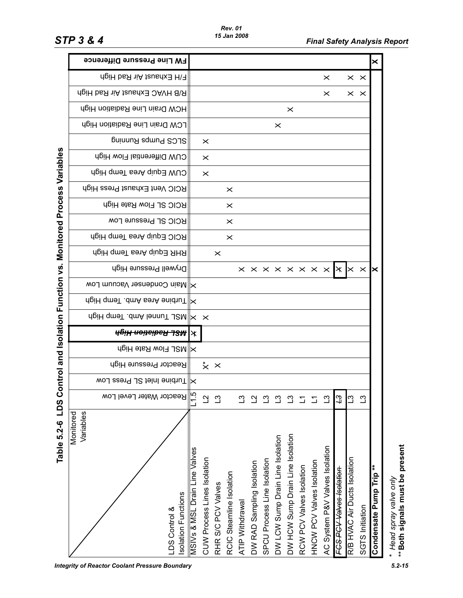|                                   | <b>FW Line Pressure Difference</b>                                    |                                          |                               |                    |                          |                 |                           |                             |                                  |                                  |                          |                           |                                                                  |                          |                              |                 | ×                      |
|-----------------------------------|-----------------------------------------------------------------------|------------------------------------------|-------------------------------|--------------------|--------------------------|-----------------|---------------------------|-----------------------------|----------------------------------|----------------------------------|--------------------------|---------------------------|------------------------------------------------------------------|--------------------------|------------------------------|-----------------|------------------------|
|                                   | F/H Exhaust Air Rad High                                              |                                          |                               |                    |                          |                 |                           |                             |                                  |                                  |                          |                           | $\times$                                                         |                          | $\times$ $\times$            |                 |                        |
|                                   | R/B HVAC Exhaust Air Rad High                                         |                                          |                               |                    |                          |                 |                           |                             |                                  |                                  |                          |                           | ×                                                                |                          | $\times$ $\times$            |                 |                        |
|                                   | HCW Drain Line Radiation High                                         |                                          |                               |                    |                          |                 |                           |                             |                                  | $\times$                         |                          |                           |                                                                  |                          |                              |                 |                        |
|                                   | LCW Drain Line Radiation High                                         |                                          |                               |                    |                          |                 |                           |                             | $\times$                         |                                  |                          |                           |                                                                  |                          |                              |                 |                        |
|                                   | SLCS Pumps Running                                                    |                                          | ×                             |                    |                          |                 |                           |                             |                                  |                                  |                          |                           |                                                                  |                          |                              |                 |                        |
|                                   | CUW Differential Flow High                                            |                                          | $\times$                      |                    |                          |                 |                           |                             |                                  |                                  |                          |                           |                                                                  |                          |                              |                 |                        |
|                                   | CUW Equip Area Temp High                                              |                                          | $\times$                      |                    |                          |                 |                           |                             |                                  |                                  |                          |                           |                                                                  |                          |                              |                 |                        |
| Monitored Process Variables       | RCIC Vent Exhaust Press High                                          |                                          |                               |                    | $\times$                 |                 |                           |                             |                                  |                                  |                          |                           |                                                                  |                          |                              |                 |                        |
|                                   | RCIC SL Flow Rate High                                                |                                          |                               |                    | $\times$                 |                 |                           |                             |                                  |                                  |                          |                           |                                                                  |                          |                              |                 |                        |
|                                   | <b>RCIC SL Pressure Low</b>                                           |                                          |                               |                    | $\times$                 |                 |                           |                             |                                  |                                  |                          |                           |                                                                  |                          |                              |                 |                        |
|                                   | RCIC Equip Area Temp High                                             |                                          |                               |                    | $\times$                 |                 |                           |                             |                                  |                                  |                          |                           |                                                                  |                          |                              |                 |                        |
|                                   | RHR Equip Area Temp High                                              |                                          |                               | $\times$           |                          |                 |                           |                             |                                  |                                  |                          |                           |                                                                  |                          |                              |                 |                        |
|                                   | Drywell Pressure High                                                 |                                          |                               |                    |                          |                 |                           |                             |                                  |                                  |                          |                           | $\times \times \times \times \times \times \times \times \times$ |                          | $\times$ $\times$            |                 | ×                      |
|                                   | Main Condenser Vacuum Low                                             |                                          |                               |                    |                          |                 |                           |                             |                                  |                                  |                          |                           |                                                                  |                          |                              |                 |                        |
|                                   | dgiH qmaT .dmA senA enidnuT  X                                        |                                          |                               |                    |                          |                 |                           |                             |                                  |                                  |                          |                           |                                                                  |                          |                              |                 |                        |
|                                   | A MSL Tunnel Amb Homp High                                            |                                          |                               |                    |                          |                 |                           |                             |                                  |                                  |                          |                           |                                                                  |                          |                              |                 |                        |
| ontrol and Isolation Function vs. | <b>All MSL Radiation High</b>                                         |                                          |                               |                    |                          |                 |                           |                             |                                  |                                  |                          |                           |                                                                  |                          |                              |                 |                        |
|                                   | $\times$ NSL Flow Rate High                                           |                                          |                               |                    |                          |                 |                           |                             |                                  |                                  |                          |                           |                                                                  |                          |                              |                 |                        |
|                                   | Reactor Pressure High                                                 |                                          | $\stackrel{*}{\times} \times$ |                    |                          |                 |                           |                             |                                  |                                  |                          |                           |                                                                  |                          |                              |                 |                        |
|                                   | WOJ seen 9 JS telni enidnuT  X                                        |                                          |                               |                    |                          |                 |                           |                             |                                  |                                  |                          |                           |                                                                  |                          |                              |                 |                        |
| $\mathbf 0$                       | Reactor Water Level Low                                               |                                          | $\overline{C}$                | $\mathbb{C}$       |                          | ن               |                           | ကု                          | ကို                              | $\mathbf{C}$                     | $\overline{\phantom{0}}$ | $\overline{\phantom{0}}$  | ്വ                                                               | $\overline{a}$           | $\overline{c}$               | $\mathfrak{L}$  |                        |
| Table 5.2-6 LDS                   | Variables<br>Monitored<br><b>Isolation Functions</b><br>LDS Control & | <b>MSIVs &amp; MSL Drain Line Valves</b> | CUW Process Lines Isolation   | RHR S/C PCV Valves | RCIC Steamline Isolation | ATIP Withdrawal | DW RAD Sampling Isolation | SPCU Process Line Isolation | DW LCW Sump Drain Line Isolation | DW HCW Sump Drain Line Isolation | RCW PCV Valves Isolation | HNCW PCV Valves Isolation | AC System P&V Valves Isolation                                   | FCS PCV Valves Isolation | R/B HVAC Air Ducts Isolation | SGTS Initiation | Condensate Pump Trip** |

*Rev. 01 15 Jan 2008*

\* Head spray valve only<br>\*\* Both signals must be present *Head spray valve only* \*\***Both signals must be present**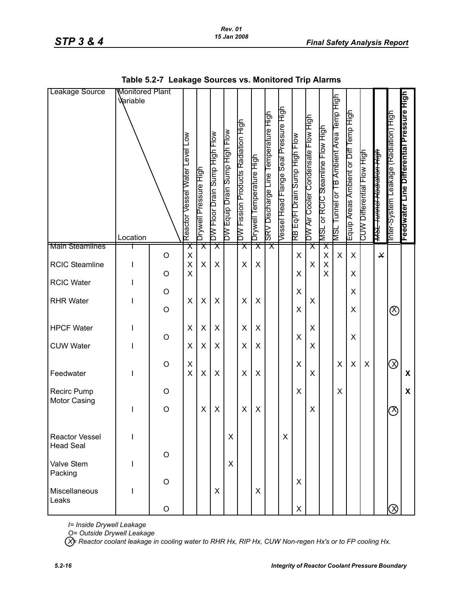| Leakage Source                            | <b>Wonitored Plant</b><br>Variable<br>Location |                       | $\sum_{i=1}^{n}$<br>Reactor Vessel Water Level | Drywell Pressure High   | DW Floor Drain Sump High Flow | DW Equip Drain Sump High Flow | DW Fission Products Radiation High | Drywell Temperature High | SRV Discharge Line Temperature High | Vessel Head Flange Seal Pressure High | RB Eq/FI Drain Sump High Flow | DW Air Cooler Condensate Flow High | MSL or RCIC Steamline Flow High    | MSL Tunnel or TB Ambient Area Temp High | Equip Areas Ambient or Diff Temp High | CUW Differential Flow High | <del>MSL Tunnel Radiation High</del> | Inter-System Leakage (Radiation) High | Feedwater Line Differential Pressure High |
|-------------------------------------------|------------------------------------------------|-----------------------|------------------------------------------------|-------------------------|-------------------------------|-------------------------------|------------------------------------|--------------------------|-------------------------------------|---------------------------------------|-------------------------------|------------------------------------|------------------------------------|-----------------------------------------|---------------------------------------|----------------------------|--------------------------------------|---------------------------------------|-------------------------------------------|
| <b>Main Steamlines</b>                    |                                                | $\bigcirc$            | $\pmb{\times}$<br>$\pmb{\mathsf{X}}$           | $\overline{\textsf{x}}$ | $\overline{\mathsf{x}}$       |                               | $\overline{\textsf{x}}$            | $\overline{\textsf{x}}$  | $\overline{\mathsf{x}}$             |                                       | X                             | $\overline{\mathsf{x}}$            | $\overline{\mathsf{x}}$<br>X       | X                                       | $\pmb{\times}$                        |                            | $\star$                              |                                       |                                           |
| <b>RCIC Steamline</b>                     | I                                              |                       | $\sf X$<br>$\mathsf{X}$                        | X                       | X                             |                               | X                                  | X                        |                                     |                                       |                               | X                                  | $\pmb{\mathsf{X}}$<br>$\mathsf{x}$ |                                         |                                       |                            |                                      |                                       |                                           |
| <b>RCIC Water</b>                         | I                                              | $\circ$               |                                                |                         |                               |                               |                                    |                          |                                     |                                       | X                             |                                    |                                    |                                         | X                                     |                            |                                      |                                       |                                           |
| <b>RHR Water</b>                          |                                                | $\bigcirc$<br>$\circ$ | X                                              | $\pmb{\times}$          | X                             |                               | X                                  | X                        |                                     |                                       | X<br>X                        | X                                  |                                    |                                         | X<br>X                                |                            |                                      | $\otimes$                             |                                           |
| <b>HPCF Water</b>                         | I                                              |                       | X                                              | X                       | X                             |                               | X                                  | X                        |                                     |                                       |                               | X                                  |                                    |                                         | $\boldsymbol{\mathsf{X}}$             |                            |                                      |                                       |                                           |
| <b>CUW Water</b>                          |                                                | $\circ$               | X                                              | X                       | X                             |                               | X                                  | X                        |                                     |                                       | X                             | X                                  |                                    |                                         |                                       |                            |                                      |                                       |                                           |
| Feedwater                                 |                                                | $\circ$               | Χ<br>$\overline{\mathsf{X}}$                   | $\pmb{\times}$          | X                             |                               | X                                  | X                        |                                     |                                       | X                             | X                                  |                                    | X                                       | $\pmb{\mathsf{X}}$                    | X                          |                                      | $\oslash$                             | $\boldsymbol{\mathsf{X}}$                 |
| Recirc Pump<br><b>Motor Casing</b>        |                                                | $\circ$               |                                                |                         |                               |                               |                                    |                          |                                     |                                       | X                             |                                    |                                    | X                                       |                                       |                            |                                      |                                       | X                                         |
|                                           | T                                              | $\bigcirc$            |                                                | X                       | X                             |                               | X                                  | X                        |                                     |                                       |                               | X                                  |                                    |                                         |                                       |                            |                                      | $\oslash$                             |                                           |
| <b>Reactor Vessel</b><br><b>Head Seal</b> | I                                              |                       |                                                |                         |                               | X                             |                                    |                          |                                     | X                                     |                               |                                    |                                    |                                         |                                       |                            |                                      |                                       |                                           |
| Valve Stem<br>Packing                     | I                                              | $\circ$               |                                                |                         |                               | $\mathsf{X}$                  |                                    |                          |                                     |                                       |                               |                                    |                                    |                                         |                                       |                            |                                      |                                       |                                           |
| Miscellaneous<br>Leaks                    | T                                              | $\circ$               |                                                |                         | X                             |                               |                                    | X                        |                                     |                                       | X                             |                                    |                                    |                                         |                                       |                            |                                      |                                       |                                           |
|                                           |                                                | $\mathsf O$           |                                                |                         |                               |                               |                                    |                          |                                     |                                       | X                             |                                    |                                    |                                         |                                       |                            |                                      | $\oslash$                             |                                           |

**Table 5.2-7 Leakage Sources vs. Monitored Trip Alarms**

*I= Inside Drywell Leakage*

*O= Outside Drywell Leakage*

*X= Reactor coolant leakage in cooling water to RHR Hx, RIP Hx, CUW Non-regen Hx's or to FP cooling Hx.*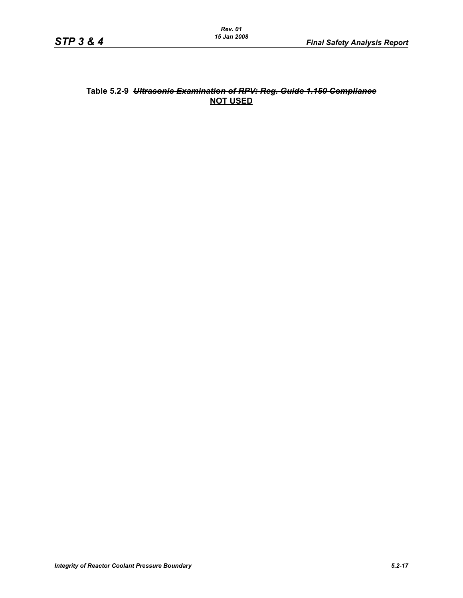### **Table 5.2-9** *Ultrasonic Examination of RPV: Reg. Guide 1.150 Compliance* **NOT USED**